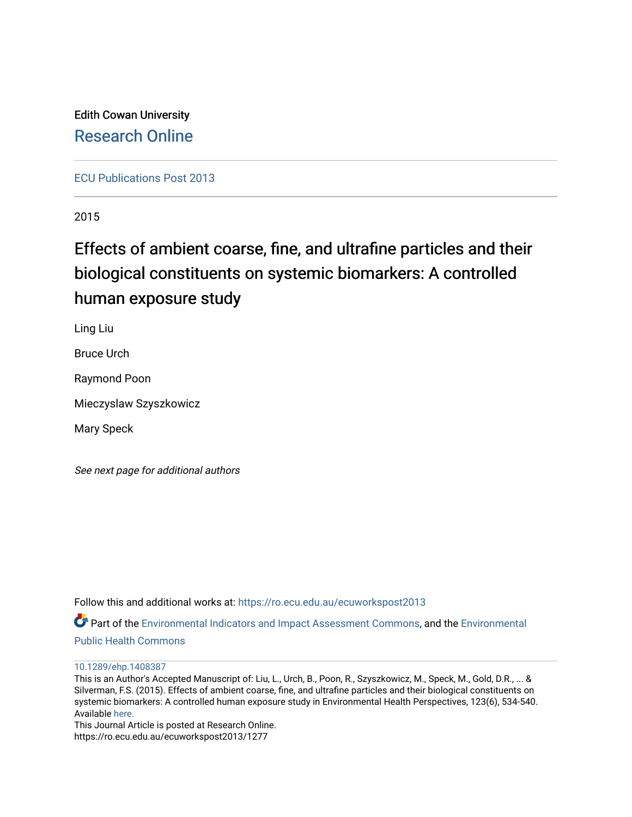Edith Cowan University [Research Online](https://ro.ecu.edu.au/) 

[ECU Publications Post 2013](https://ro.ecu.edu.au/ecuworkspost2013)

2015

# Effects of ambient coarse, fine, and ultrafine particles and their biological constituents on systemic biomarkers: A controlled human exposure study

Ling Liu

Bruce Urch

Raymond Poon

Mieczyslaw Szyszkowicz

Mary Speck

See next page for additional authors

Follow this and additional works at: [https://ro.ecu.edu.au/ecuworkspost2013](https://ro.ecu.edu.au/ecuworkspost2013?utm_source=ro.ecu.edu.au%2Fecuworkspost2013%2F1277&utm_medium=PDF&utm_campaign=PDFCoverPages) 

Part of the [Environmental Indicators and Impact Assessment Commons,](http://network.bepress.com/hgg/discipline/1015?utm_source=ro.ecu.edu.au%2Fecuworkspost2013%2F1277&utm_medium=PDF&utm_campaign=PDFCoverPages) and the [Environmental](http://network.bepress.com/hgg/discipline/739?utm_source=ro.ecu.edu.au%2Fecuworkspost2013%2F1277&utm_medium=PDF&utm_campaign=PDFCoverPages) [Public Health Commons](http://network.bepress.com/hgg/discipline/739?utm_source=ro.ecu.edu.au%2Fecuworkspost2013%2F1277&utm_medium=PDF&utm_campaign=PDFCoverPages) 

[10.1289/ehp.1408387](http://dx.doi.org/10.1289/ehp.1408387) 

This is an Author's Accepted Manuscript of: Liu, L., Urch, B., Poon, R., Szyszkowicz, M., Speck, M., Gold, D.R., ... & Silverman, F.S. (2015). Effects of ambient coarse, fine, and ultrafine particles and their biological constituents on systemic biomarkers: A controlled human exposure study in Environmental Health Perspectives, 123(6), 534-540. Available [here.](https://doi.org/10.1289/ehp.1408387%20)

This Journal Article is posted at Research Online. https://ro.ecu.edu.au/ecuworkspost2013/1277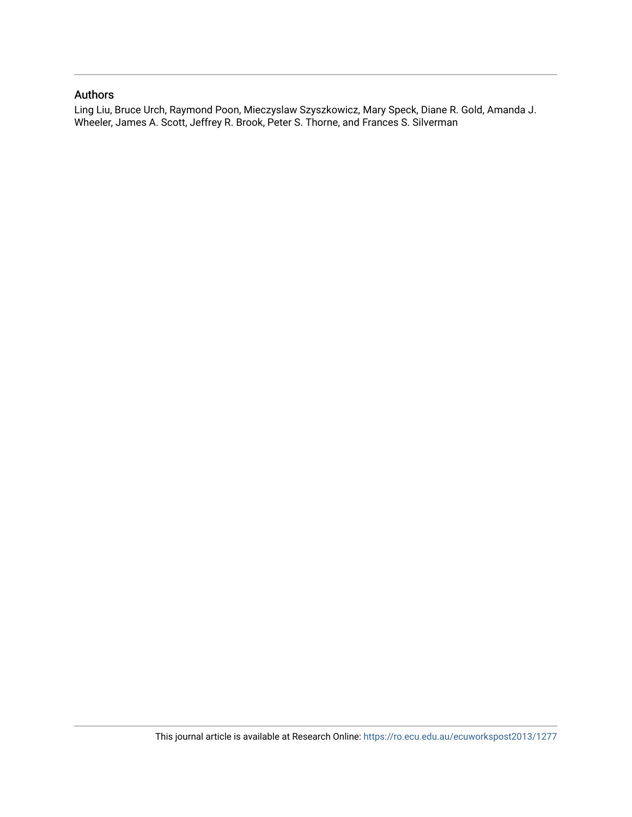## Authors

Ling Liu, Bruce Urch, Raymond Poon, Mieczyslaw Szyszkowicz, Mary Speck, Diane R. Gold, Amanda J. Wheeler, James A. Scott, Jeffrey R. Brook, Peter S. Thorne, and Frances S. Silverman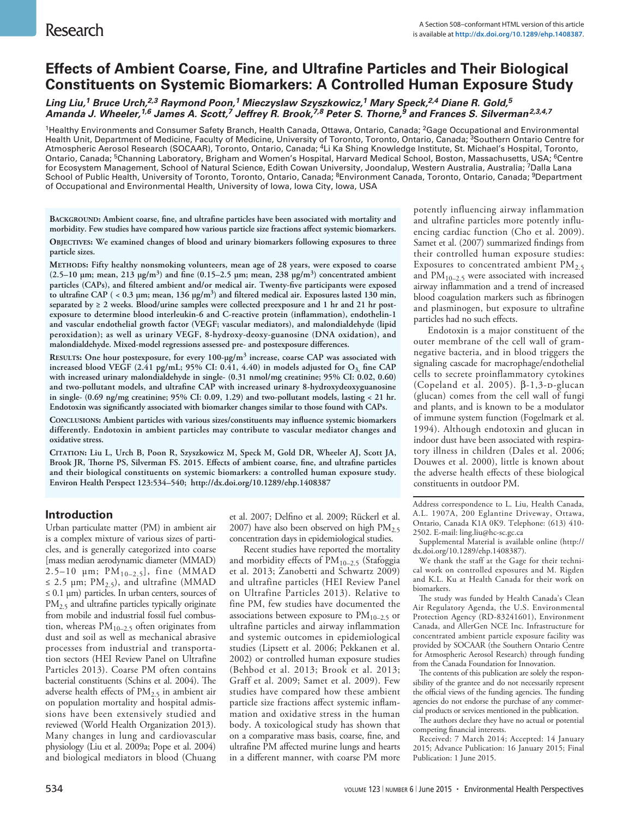# **Effects of Ambient Coarse, Fine, and Ultrafine Particles and Their Biological Constituents on Systemic Biomarkers: A Controlled Human Exposure Study**

*Ling Liu,1 Bruce Urch,2,3 Raymond Poon,1 Mieczyslaw Szyszkowicz,1 Mary Speck,2,4 Diane R. Gold,5 Amanda J. Wheeler,1,6 James A. Scott,7 Jeffrey R. Brook,7,8 Peter S. Thorne,9 and Frances S. Silverman2,3,4,7*

<sup>1</sup>Healthy Environments and Consumer Safety Branch, Health Canada, Ottawa, Ontario, Canada; <sup>2</sup>Gage Occupational and Environmental Health Unit, Department of Medicine, Faculty of Medicine, University of Toronto, Toronto, Ontario, Canada; <sup>3</sup>Southern Ontario Centre for Atmospheric Aerosol Research (SOCAAR), Toronto, Ontario, Canada; 4Li Ka Shing Knowledge Institute, St. Michael's Hospital, Toronto, Ontario, Canada; <sup>5</sup>Channing Laboratory, Brigham and Women's Hospital, Harvard Medical School, Boston, Massachusetts, USA; <sup>6</sup>Centre for Ecosystem Management, School of Natural Science, Edith Cowan University, Joondalup, Western Australia, Australia; 7Dalla Lana School of Public Health, University of Toronto, Toronto, Ontario, Canada; <sup>8</sup>Environment Canada, Toronto, Ontario, Canada; <sup>9</sup>Department of Occupational and Environmental Health, University of Iowa, Iowa City, Iowa, USA

**Background: Ambient coarse, fine, and ultrafine particles have been associated with mortality and morbidity. Few studies have compared how various particle size fractions affect systemic biomarkers.**

**Objectives: We examined changes of blood and urinary biomarkers following exposures to three particle sizes.**

**Methods: Fifty healthy nonsmoking volunteers, mean age of 28 years, were exposed to coarse (2.5–10 μm; mean, 213 μg/m3) and fine (0.15–2.5 μm; mean, 238 μg/m3) concentrated ambient particles (CAPs), and filtered ambient and/or medical air. Twenty-five participants were exposed to ultrafine CAP ( < 0.3 μm; mean, 136 μg/m3) and filtered medical air. Exposures lasted 130 min, separated by ≥ 2 weeks. Blood/urine samples were collected preexposure and 1 hr and 21 hr postexposure to determine blood interleukin-6 and C-reactive protein (inflammation), endothelin-1 and vascular endothelial growth factor (VEGF; vascular mediators), and malondialdehyde (lipid peroxidation); as well as urinary VEGF, 8-hydroxy-deoxy-guanosine (DNA oxidation), and malondialdehyde. Mixed-model regressions assessed pre- and postexposure differences.**

**Results: One hour postexposure, for every 100-μg/m3 increase, coarse CAP was associated with increased blood VEGF (2.41 pg/mL; 95% CI: 0.41, 4.40) in models adjusted for O3, fine CAP with increased urinary malondialdehyde in single- (0.31 nmol/mg creatinine; 95% CI: 0.02, 0.60) and two-pollutant models, and ultrafine CAP with increased urinary 8-hydroxydeoxyguanosine in single- (0.69 ng/mg creatinine; 95% CI: 0.09, 1.29) and two-pollutant models, lasting < 21 hr. Endotoxin was significantly associated with biomarker changes similar to those found with CAPs.**

**Conclusions: Ambient particles with various sizes/constituents may influence systemic biomarkers differently. Endotoxin in ambient particles may contribute to vascular mediator changes and oxidative stress.**

**Citation: Liu L, Urch B, Poon R, Szyszkowicz M, Speck M, Gold DR, Wheeler AJ, Scott JA, Brook JR, Thorne PS, Silverman FS. 2015. Effects of ambient coarse, fine, and ultrafine particles and their biological constituents on systemic biomarkers: a controlled human exposure study. Environ Health Perspect 123:534–540; http://dx.doi.org/10.1289/ehp.1408387**

### **Introduction**

Urban particulate matter (PM) in ambient air is a complex mixture of various sizes of particles, and is generally categorized into coarse [mass median aerodynamic diameter (MMAD) 2.5–10  $\mu$ m; PM<sub>10–2.5</sub>], fine (MMAD  $\leq$  2.5 µm; PM<sub>2.5</sub>), and ultrafine (MMAD  $\leq 0.1$  µm) particles. In urban centers, sources of PM<sub>2.5</sub> and ultrafine particles typically originate from mobile and industrial fossil fuel combustion, whereas  $PM_{10-2.5}$  often originates from dust and soil as well as mechanical abrasive processes from industrial and transportation sectors (HEI Review Panel on Ultrafine Particles 2013). Coarse PM often contains bacterial constituents (Schins et al. 2004). The adverse health effects of PM2.5 in ambient air on population mortality and hospital admissions have been extensively studied and reviewed (World Health Organization 2013). Many changes in lung and cardiovascular physiology (Liu et al. 2009a; Pope et al. 2004) and biological mediators in blood (Chuang

et al. 2007; Delfino et al. 2009; Rückerl et al. 2007) have also been observed on high  $PM_{2.5}$ concentration days in epidemiological studies.

Recent studies have reported the mortality and morbidity effects of  $\text{PM}_{10-2.5}$  (Stafoggia et al. 2013; Zanobetti and Schwartz 2009) and ultrafine particles (HEI Review Panel on Ultrafine Particles 2013). Relative to fine PM, few studies have documented the associations between exposure to  $PM_{10-2.5}$  or ultrafine particles and airway inflammation and systemic outcomes in epidemiological studies (Lipsett et al. 2006; Pekkanen et al. 2002) or controlled human exposure studies (Behbod et al. 2013; Brook et al. 2013; Graff et al. 2009; Samet et al. 2009). Few studies have compared how these ambient particle size fractions affect systemic inflammation and oxidative stress in the human body. A toxicological study has shown that on a comparative mass basis, coarse, fine, and ultrafine PM affected murine lungs and hearts in a different manner, with coarse PM more

potently influencing airway inflammation and ultrafine particles more potently influencing cardiac function (Cho et al. 2009). Samet et al. (2007) summarized findings from their controlled human exposure studies: Exposures to concentrated ambient  $PM_{2.5}$ and  $PM_{10-2.5}$  were associated with increased airway inflammation and a trend of increased blood coagulation markers such as fibrinogen and plasminogen, but exposure to ultrafine particles had no such effects.

Endotoxin is a major constituent of the outer membrane of the cell wall of gramnegative bacteria, and in blood triggers the signaling cascade for macrophage/endothelial cells to secrete proinflammatory cytokines (Copeland et al. 2005).  $β-1,3-p-glucan$ (glucan) comes from the cell wall of fungi and plants, and is known to be a modulator of immune system function (Fogelmark et al. 1994). Although endotoxin and glucan in indoor dust have been associated with respiratory illness in children (Dales et al. 2006; Douwes et al. 2000), little is known about the adverse health effects of these biological constituents in outdoor PM.

Address correspondence to L. Liu, Health Canada, A.L. 1907A, 200 Eglantine Driveway, Ottawa, Ontario, Canada K1A 0K9. Telephone: (613) 410- 2502. E-mail: ling.liu@hc-sc.gc.ca

Supplemental Material is available online (http:// dx.doi.org/10.1289/ehp.1408387).

We thank the staff at the Gage for their technical work on controlled exposures and M. Rigden and K.L. Ku at Health Canada for their work on biomarkers.

The study was funded by Health Canada's Clean Air Regulatory Agenda, the U.S. Environmental Protection Agency (RD-83241601), Environment Canada, and AllerGen NCE Inc. Infrastructure for concentrated ambient particle exposure facility was provided by SOCAAR (the Southern Ontario Centre for Atmospheric Aerosol Research) through funding from the Canada Foundation for Innovation.

The contents of this publication are solely the responsibility of the grantee and do not necessarily represent the official views of the funding agencies. The funding agencies do not endorse the purchase of any commercial products or services mentioned in the publication.

The authors declare they have no actual or potential competing financial interests.

Received: 7 March 2014; Accepted: 14 January 2015; Advance Publication: 16 January 2015; Final Publication: 1 June 2015.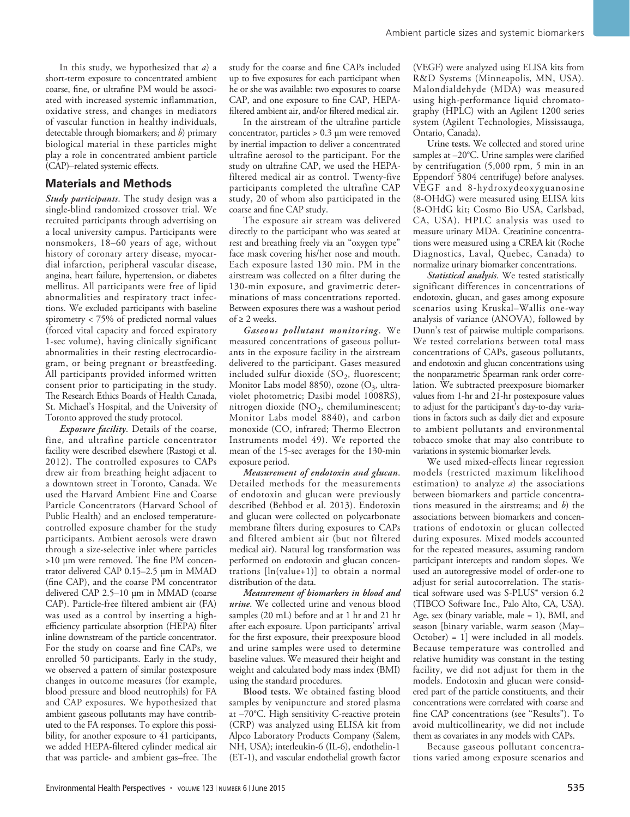In this study, we hypothesized that *a*) a short-term exposure to concentrated ambient coarse, fine, or ultrafine PM would be associated with increased systemic inflammation, oxidative stress, and changes in mediators of vascular function in healthy individuals, detectable through biomarkers; and *b*) primary biological material in these particles might play a role in concentrated ambient particle (CAP)–related systemic effects.

#### **Materials and Methods**

*Study participants*. The study design was a single-blind randomized crossover trial. We recruited participants through advertising on a local university campus. Participants were nonsmokers, 18–60 years of age, without history of coronary artery disease, myocardial infarction, peripheral vascular disease, angina, heart failure, hypertension, or diabetes mellitus. All participants were free of lipid abnormalities and respiratory tract infections. We excluded participants with baseline spirometry < 75% of predicted normal values (forced vital capacity and forced expiratory 1-sec volume), having clinically significant abnormalities in their resting electrocardiogram, or being pregnant or breastfeeding. All participants provided informed written consent prior to participating in the study. The Research Ethics Boards of Health Canada, St. Michael's Hospital, and the University of Toronto approved the study protocol.

*Exposure facility*. Details of the coarse, fine, and ultrafine particle concentrator facility were described elsewhere (Rastogi et al. 2012). The controlled exposures to CAPs drew air from breathing height adjacent to a downtown street in Toronto, Canada. We used the Harvard Ambient Fine and Coarse Particle Concentrators (Harvard School of Public Health) and an enclosed temperaturecontrolled exposure chamber for the study participants. Ambient aerosols were drawn through a size-selective inlet where particles >10 μm were removed. The fine PM concentrator delivered CAP 0.15–2.5 μm in MMAD (fine CAP), and the coarse PM concentrator delivered CAP 2.5–10 μm in MMAD (coarse CAP). Particle-free filtered ambient air (FA) was used as a control by inserting a highefficiency particulate absorption (HEPA) filter inline downstream of the particle concentrator. For the study on coarse and fine CAPs, we enrolled 50 participants. Early in the study, we observed a pattern of similar postexposure changes in outcome measures (for example, blood pressure and blood neutrophils) for FA and CAP exposures. We hypothesized that ambient gaseous pollutants may have contributed to the FA responses. To explore this possibility, for another exposure to 41 participants, we added HEPA-filtered cylinder medical air that was particle- and ambient gas–free. The

study for the coarse and fine CAPs included up to five exposures for each participant when he or she was available: two exposures to coarse CAP, and one exposure to fine CAP, HEPAfiltered ambient air, and/or filtered medical air.

In the airstream of the ultrafine particle concentrator, particles > 0.3 μm were removed by inertial impaction to deliver a concentrated ultrafine aerosol to the participant. For the study on ultrafine CAP, we used the HEPAfiltered medical air as control. Twenty-five participants completed the ultrafine CAP study, 20 of whom also participated in the coarse and fine CAP study.

The exposure air stream was delivered directly to the participant who was seated at rest and breathing freely via an "oxygen type" face mask covering his/her nose and mouth. Each exposure lasted 130 min. PM in the airstream was collected on a filter during the 130-min exposure, and gravimetric determinations of mass concentrations reported. Between exposures there was a washout period of  $\geq 2$  weeks.

*Gaseous pollutant monitoring*. We measured concentrations of gaseous pollutants in the exposure facility in the airstream delivered to the participant. Gases measured included sulfur dioxide  $(SO<sub>2</sub>,$  fluorescent; Monitor Labs model 8850), ozone  $(O_3,$  ultraviolet photometric; Dasibi model 1008RS), nitrogen dioxide (NO<sub>2</sub>, chemiluminescent; Monitor Labs model 8840), and carbon monoxide (CO, infrared; Thermo Electron Instruments model 49). We reported the mean of the 15-sec averages for the 130-min exposure period.

*Measurement of endotoxin and glucan*. Detailed methods for the measurements of endotoxin and glucan were previously described (Behbod et al. 2013). Endotoxin and glucan were collected on polycarbonate membrane filters during exposures to CAPs and filtered ambient air (but not filtered medical air). Natural log transformation was performed on endotoxin and glucan concentrations [ln(value+1)] to obtain a normal distribution of the data.

*Measurement of biomarkers in blood and urine*. We collected urine and venous blood samples (20 mL) before and at 1 hr and 21 hr after each exposure. Upon participants' arrival for the first exposure, their preexposure blood and urine samples were used to determine baseline values. We measured their height and weight and calculated body mass index (BMI) using the standard procedures.

**Blood tests.** We obtained fasting blood samples by venipuncture and stored plasma at –70°C. High sensitivity C-reactive protein (CRP) was analyzed using ELISA kit from Alpco Laboratory Products Company (Salem, NH, USA); interleukin-6 (IL-6), endothelin-1 (ET-1), and vascular endothelial growth factor

(VEGF) were analyzed using ELISA kits from R&D Systems (Minneapolis, MN, USA). Malondialdehyde (MDA) was measured using high-performance liquid chromatography (HPLC) with an Agilent 1200 series system (Agilent Technologies, Mississauga, Ontario, Canada).

**Urine tests.** We collected and stored urine samples at –20°C. Urine samples were clarified by centrifugation (5,000 rpm, 5 min in an Eppendorf 5804 centrifuge) before analyses. VEGF and 8-hydroxydeoxyguanosine (8-OHdG) were measured using ELISA kits (8-OHdG kit; Cosmo Bio USA, Carlsbad, CA, USA). HPLC analysis was used to measure urinary MDA. Creatinine concentrations were measured using a CREA kit (Roche Diagnostics, Laval, Quebec, Canada) to normalize urinary biomarker concentrations.

*Statistical analysis*. We tested statistically significant differences in concentrations of endotoxin, glucan, and gases among exposure scenarios using Kruskal–Wallis one-way analysis of variance (ANOVA), followed by Dunn's test of pairwise multiple comparisons. We tested correlations between total mass concentrations of CAPs, gaseous pollutants, and endotoxin and glucan concentrations using the nonparametric Spearman rank order correlation. We subtracted preexposure biomarker values from 1-hr and 21-hr postexposure values to adjust for the participant's day-to-day variations in factors such as daily diet and exposure to ambient pollutants and environmental tobacco smoke that may also contribute to variations in systemic biomarker levels.

We used mixed-effects linear regression models (restricted maximum likelihood estimation) to analyze *a*) the associations between biomarkers and particle concentrations measured in the airstreams; and *b*) the associations between biomarkers and concentrations of endotoxin or glucan collected during exposures. Mixed models accounted for the repeated measures, assuming random participant intercepts and random slopes. We used an autoregressive model of order-one to adjust for serial autocorrelation. The statistical software used was S-PLUS® version 6.2 (TIBCO Software Inc., Palo Alto, CA, USA). Age, sex (binary variable, male = 1), BMI, and season [binary variable, warm season (May– October) = 1] were included in all models. Because temperature was controlled and relative humidity was constant in the testing facility, we did not adjust for them in the models. Endotoxin and glucan were considered part of the particle constituents, and their concentrations were correlated with coarse and fine CAP concentrations (see "Results"). To avoid multicollinearity, we did not include them as covariates in any models with CAPs.

Because gaseous pollutant concentrations varied among exposure scenarios and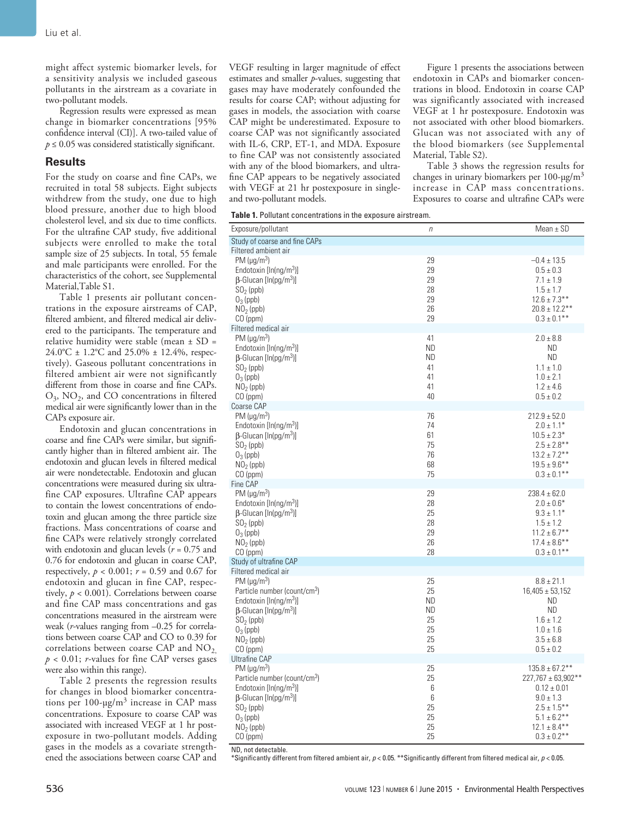might affect systemic biomarker levels, for a sensitivity analysis we included gaseous pollutants in the airstream as a covariate in two-pollutant models.

Regression results were expressed as mean change in biomarker concentrations [95% confidence interval (CI)]. A two-tailed value of  $p \leq 0.05$  was considered statistically significant.

#### **Results**

For the study on coarse and fine CAPs, we recruited in total 58 subjects. Eight subjects withdrew from the study, one due to high blood pressure, another due to high blood cholesterol level, and six due to time conflicts. For the ultrafine CAP study, five additional subjects were enrolled to make the total sample size of 25 subjects. In total, 55 female and male participants were enrolled. For the characteristics of the cohort, see Supplemental Material,Table S1.

Table 1 presents air pollutant concentrations in the exposure airstreams of CAP, filtered ambient, and filtered medical air delivered to the participants. The temperature and relative humidity were stable (mean ± SD = 24.0°C ± 1.2°C and 25.0% ± 12.4%, respectively). Gaseous pollutant concentrations in filtered ambient air were not significantly different from those in coarse and fine CAPs. O3, NO2, and CO concentrations in filtered medical air were significantly lower than in the CAPs exposure air.

Endotoxin and glucan concentrations in coarse and fine CAPs were similar, but significantly higher than in filtered ambient air. The endotoxin and glucan levels in filtered medical air were nondetectable. Endotoxin and glucan concentrations were measured during six ultrafine CAP exposures. Ultrafine CAP appears to contain the lowest concentrations of endotoxin and glucan among the three particle size fractions. Mass concentrations of coarse and fine CAPs were relatively strongly correlated with endotoxin and glucan levels (*r* = 0.75 and 0.76 for endotoxin and glucan in coarse CAP, respectively,  $p < 0.001$ ;  $r = 0.59$  and 0.67 for endotoxin and glucan in fine CAP, respectively,  $p < 0.001$ ). Correlations between coarse and fine CAP mass concentrations and gas concentrations measured in the airstream were weak (*r-*values ranging from –0.25 for correlations between coarse CAP and CO to 0.39 for correlations between coarse CAP and  $NO<sub>2</sub>$ , *p* < 0.01; *r-*values for fine CAP verses gases were also within this range).

Table 2 presents the regression results for changes in blood biomarker concentrations per  $100$ -μg/m<sup>3</sup> increase in CAP mass concentrations. Exposure to coarse CAP was associated with increased VEGF at 1 hr postexposure in two-pollutant models. Adding gases in the models as a covariate strengthened the associations between coarse CAP and

VEGF resulting in larger magnitude of effect estimates and smaller *p*-values, suggesting that gases may have moderately confounded the results for coarse CAP; without adjusting for gases in models, the association with coarse CAP might be underestimated. Exposure to coarse CAP was not significantly associated with IL-6, CRP, ET-1, and MDA. Exposure to fine CAP was not consistently associated with any of the blood biomarkers, and ultrafine CAP appears to be negatively associated with VEGF at 21 hr postexposure in singleand two-pollutant models.

Figure 1 presents the associations between endotoxin in CAPs and biomarker concentrations in blood. Endotoxin in coarse CAP was significantly associated with increased VEGF at 1 hr postexposure. Endotoxin was not associated with other blood biomarkers. Glucan was not associated with any of the blood biomarkers (see Supplemental Material, Table S2).

Table 3 shows the regression results for changes in urinary biomarkers per 100-μg/m3 increase in CAP mass concentrations. Exposures to coarse and ultrafine CAPs were

|  |  |  |  |  |  |  |  | Table 1. Pollutant concentrations in the exposure airstream. |
|--|--|--|--|--|--|--|--|--------------------------------------------------------------|
|--|--|--|--|--|--|--|--|--------------------------------------------------------------|

| Study of coarse and fine CAPs<br>Filtered ambient air<br>PM $(\mu q/m^3)$<br>29<br>$-0.4 \pm 13.5$<br>29<br>$0.5 \pm 0.3$<br>Endotoxin $[ln(np/m^3)]$<br>$\beta$ -Glucan [ln(pg/m <sup>3</sup> )]<br>29<br>$7.1 \pm 1.9$<br>28<br>$SO2$ (ppb)<br>$1.5 \pm 1.7$<br>29<br>$12.6 \pm 7.3***$<br>$O_3$ (ppb)<br>26<br>$20.8 \pm 12.2$ **<br>$NO2$ (ppb)<br>29<br>$0.3 \pm 0.1$ **<br>CO (ppm)<br>Filtered medical air<br>PM $(\mu q/m^3)$<br>41<br>$2.0 \pm 8.8$<br>Endotoxin $[ln(ng/m^3)]$<br><b>ND</b><br><b>ND</b><br><b>ND</b><br>$\beta$ -Glucan [ln(pg/m <sup>3</sup> )]<br><b>ND</b><br>$SO2$ (ppb)<br>41<br>$1.1 \pm 1.0$<br>$O_3$ (ppb)<br>41<br>$1.0 \pm 2.1$<br>41<br>$NO2$ (ppb)<br>$1.2 \pm 4.6$<br>40<br>$CO$ (ppm)<br>$0.5 \pm 0.2$<br>Coarse CAP<br>PM ( $\mu$ g/m <sup>3</sup> )<br>76<br>$212.9 \pm 52.0$<br>Endotoxin [In(ng/m <sup>3</sup> )]<br>74<br>$2.0 \pm 1.1*$<br>61<br>$\beta$ -Glucan [ln(pg/m <sup>3</sup> )]<br>$10.5 \pm 2.3*$<br>75<br>$2.5 \pm 2.8***$<br>$SO2$ (ppb)<br>76<br>$13.2 \pm 7.2$ **<br>$O_3$ (ppb)<br>68<br>$NO2$ (ppb)<br>$19.5 \pm 9.6***$<br>CO (ppm)<br>75<br>$0.3 \pm 0.1$ **<br>Fine CAP<br>PM ( $\mu$ g/m <sup>3</sup> )<br>29<br>$238.4 \pm 62.0$<br>Endotoxin $[ln(nq/m^3)]$<br>28<br>$2.0 \pm 0.6*$<br>25<br>$\beta$ -Glucan [ln(pg/m <sup>3</sup> )]<br>$9.3 \pm 1.1*$<br>28<br>$SO2$ (ppb)<br>$1.5 \pm 1.2$<br>$11.2 \pm 6.7$ **<br>$O_3$ (ppb)<br>29<br>26<br>$17.4 \pm 8.6$ **<br>$NO2$ (ppb)<br>28<br>$CO$ (ppm)<br>$0.3 \pm 0.1$ **<br>Study of ultrafine CAP<br>Filtered medical air<br>25<br>PM $(\mu q/m^3)$<br>$8.8 \pm 21.1$<br>Particle number (count/cm <sup>3</sup> )<br>25<br>$16,405 \pm 53,152$<br>Endotoxin $[ln(nq/m^3)]$<br>ND<br><b>ND</b><br><b>ND</b><br><b>ND</b><br>$\beta$ -Glucan [ln(pg/m <sup>3</sup> )]<br>25<br>$1.6 \pm 1.2$<br>$SO2$ (ppb)<br>$O_3$ (ppb)<br>25<br>$1.0 \pm 1.6$<br>25<br>$3.5 \pm 6.8$<br>$NO2$ (ppb)<br>25<br>CO (ppm)<br>$0.5 \pm 0.2$<br><b>Ultrafine CAP</b><br>PM $(\mu q/m^3)$<br>25<br>$135.8 \pm 67.2$ **<br>Particle number (count/cm <sup>3</sup> )<br>25<br>227,767 ± 63,902**<br>Endotoxin $[ln(ng/m^3)]$<br>6<br>$0.12 \pm 0.01$<br>6<br>$\beta$ -Glucan [ln(pg/m <sup>3</sup> )]<br>$9.0 \pm 1.3$<br>25<br>$2.5 \pm 1.5***$<br>$SO2$ (ppb)<br>25<br>$O_3$ (ppb)<br>$5.1 \pm 6.2$ **<br>$12.1 \pm 8.4***$<br>25<br>$NO2$ (ppb) | Exposure/pollutant | $\eta$ | Mean $\pm$ SD    |
|-----------------------------------------------------------------------------------------------------------------------------------------------------------------------------------------------------------------------------------------------------------------------------------------------------------------------------------------------------------------------------------------------------------------------------------------------------------------------------------------------------------------------------------------------------------------------------------------------------------------------------------------------------------------------------------------------------------------------------------------------------------------------------------------------------------------------------------------------------------------------------------------------------------------------------------------------------------------------------------------------------------------------------------------------------------------------------------------------------------------------------------------------------------------------------------------------------------------------------------------------------------------------------------------------------------------------------------------------------------------------------------------------------------------------------------------------------------------------------------------------------------------------------------------------------------------------------------------------------------------------------------------------------------------------------------------------------------------------------------------------------------------------------------------------------------------------------------------------------------------------------------------------------------------------------------------------------------------------------------------------------------------------------------------------------------------------------------------------------------------------------------------------------------------------------------------------------------------------------------------------------------------------------------------------------------------------------------------------------|--------------------|--------|------------------|
|                                                                                                                                                                                                                                                                                                                                                                                                                                                                                                                                                                                                                                                                                                                                                                                                                                                                                                                                                                                                                                                                                                                                                                                                                                                                                                                                                                                                                                                                                                                                                                                                                                                                                                                                                                                                                                                                                                                                                                                                                                                                                                                                                                                                                                                                                                                                                     |                    |        |                  |
|                                                                                                                                                                                                                                                                                                                                                                                                                                                                                                                                                                                                                                                                                                                                                                                                                                                                                                                                                                                                                                                                                                                                                                                                                                                                                                                                                                                                                                                                                                                                                                                                                                                                                                                                                                                                                                                                                                                                                                                                                                                                                                                                                                                                                                                                                                                                                     |                    |        |                  |
|                                                                                                                                                                                                                                                                                                                                                                                                                                                                                                                                                                                                                                                                                                                                                                                                                                                                                                                                                                                                                                                                                                                                                                                                                                                                                                                                                                                                                                                                                                                                                                                                                                                                                                                                                                                                                                                                                                                                                                                                                                                                                                                                                                                                                                                                                                                                                     |                    |        |                  |
|                                                                                                                                                                                                                                                                                                                                                                                                                                                                                                                                                                                                                                                                                                                                                                                                                                                                                                                                                                                                                                                                                                                                                                                                                                                                                                                                                                                                                                                                                                                                                                                                                                                                                                                                                                                                                                                                                                                                                                                                                                                                                                                                                                                                                                                                                                                                                     |                    |        |                  |
|                                                                                                                                                                                                                                                                                                                                                                                                                                                                                                                                                                                                                                                                                                                                                                                                                                                                                                                                                                                                                                                                                                                                                                                                                                                                                                                                                                                                                                                                                                                                                                                                                                                                                                                                                                                                                                                                                                                                                                                                                                                                                                                                                                                                                                                                                                                                                     |                    |        |                  |
|                                                                                                                                                                                                                                                                                                                                                                                                                                                                                                                                                                                                                                                                                                                                                                                                                                                                                                                                                                                                                                                                                                                                                                                                                                                                                                                                                                                                                                                                                                                                                                                                                                                                                                                                                                                                                                                                                                                                                                                                                                                                                                                                                                                                                                                                                                                                                     |                    |        |                  |
|                                                                                                                                                                                                                                                                                                                                                                                                                                                                                                                                                                                                                                                                                                                                                                                                                                                                                                                                                                                                                                                                                                                                                                                                                                                                                                                                                                                                                                                                                                                                                                                                                                                                                                                                                                                                                                                                                                                                                                                                                                                                                                                                                                                                                                                                                                                                                     |                    |        |                  |
|                                                                                                                                                                                                                                                                                                                                                                                                                                                                                                                                                                                                                                                                                                                                                                                                                                                                                                                                                                                                                                                                                                                                                                                                                                                                                                                                                                                                                                                                                                                                                                                                                                                                                                                                                                                                                                                                                                                                                                                                                                                                                                                                                                                                                                                                                                                                                     |                    |        |                  |
|                                                                                                                                                                                                                                                                                                                                                                                                                                                                                                                                                                                                                                                                                                                                                                                                                                                                                                                                                                                                                                                                                                                                                                                                                                                                                                                                                                                                                                                                                                                                                                                                                                                                                                                                                                                                                                                                                                                                                                                                                                                                                                                                                                                                                                                                                                                                                     |                    |        |                  |
|                                                                                                                                                                                                                                                                                                                                                                                                                                                                                                                                                                                                                                                                                                                                                                                                                                                                                                                                                                                                                                                                                                                                                                                                                                                                                                                                                                                                                                                                                                                                                                                                                                                                                                                                                                                                                                                                                                                                                                                                                                                                                                                                                                                                                                                                                                                                                     |                    |        |                  |
|                                                                                                                                                                                                                                                                                                                                                                                                                                                                                                                                                                                                                                                                                                                                                                                                                                                                                                                                                                                                                                                                                                                                                                                                                                                                                                                                                                                                                                                                                                                                                                                                                                                                                                                                                                                                                                                                                                                                                                                                                                                                                                                                                                                                                                                                                                                                                     |                    |        |                  |
|                                                                                                                                                                                                                                                                                                                                                                                                                                                                                                                                                                                                                                                                                                                                                                                                                                                                                                                                                                                                                                                                                                                                                                                                                                                                                                                                                                                                                                                                                                                                                                                                                                                                                                                                                                                                                                                                                                                                                                                                                                                                                                                                                                                                                                                                                                                                                     |                    |        |                  |
|                                                                                                                                                                                                                                                                                                                                                                                                                                                                                                                                                                                                                                                                                                                                                                                                                                                                                                                                                                                                                                                                                                                                                                                                                                                                                                                                                                                                                                                                                                                                                                                                                                                                                                                                                                                                                                                                                                                                                                                                                                                                                                                                                                                                                                                                                                                                                     |                    |        |                  |
|                                                                                                                                                                                                                                                                                                                                                                                                                                                                                                                                                                                                                                                                                                                                                                                                                                                                                                                                                                                                                                                                                                                                                                                                                                                                                                                                                                                                                                                                                                                                                                                                                                                                                                                                                                                                                                                                                                                                                                                                                                                                                                                                                                                                                                                                                                                                                     |                    |        |                  |
|                                                                                                                                                                                                                                                                                                                                                                                                                                                                                                                                                                                                                                                                                                                                                                                                                                                                                                                                                                                                                                                                                                                                                                                                                                                                                                                                                                                                                                                                                                                                                                                                                                                                                                                                                                                                                                                                                                                                                                                                                                                                                                                                                                                                                                                                                                                                                     |                    |        |                  |
|                                                                                                                                                                                                                                                                                                                                                                                                                                                                                                                                                                                                                                                                                                                                                                                                                                                                                                                                                                                                                                                                                                                                                                                                                                                                                                                                                                                                                                                                                                                                                                                                                                                                                                                                                                                                                                                                                                                                                                                                                                                                                                                                                                                                                                                                                                                                                     |                    |        |                  |
|                                                                                                                                                                                                                                                                                                                                                                                                                                                                                                                                                                                                                                                                                                                                                                                                                                                                                                                                                                                                                                                                                                                                                                                                                                                                                                                                                                                                                                                                                                                                                                                                                                                                                                                                                                                                                                                                                                                                                                                                                                                                                                                                                                                                                                                                                                                                                     |                    |        |                  |
|                                                                                                                                                                                                                                                                                                                                                                                                                                                                                                                                                                                                                                                                                                                                                                                                                                                                                                                                                                                                                                                                                                                                                                                                                                                                                                                                                                                                                                                                                                                                                                                                                                                                                                                                                                                                                                                                                                                                                                                                                                                                                                                                                                                                                                                                                                                                                     |                    |        |                  |
|                                                                                                                                                                                                                                                                                                                                                                                                                                                                                                                                                                                                                                                                                                                                                                                                                                                                                                                                                                                                                                                                                                                                                                                                                                                                                                                                                                                                                                                                                                                                                                                                                                                                                                                                                                                                                                                                                                                                                                                                                                                                                                                                                                                                                                                                                                                                                     |                    |        |                  |
|                                                                                                                                                                                                                                                                                                                                                                                                                                                                                                                                                                                                                                                                                                                                                                                                                                                                                                                                                                                                                                                                                                                                                                                                                                                                                                                                                                                                                                                                                                                                                                                                                                                                                                                                                                                                                                                                                                                                                                                                                                                                                                                                                                                                                                                                                                                                                     |                    |        |                  |
|                                                                                                                                                                                                                                                                                                                                                                                                                                                                                                                                                                                                                                                                                                                                                                                                                                                                                                                                                                                                                                                                                                                                                                                                                                                                                                                                                                                                                                                                                                                                                                                                                                                                                                                                                                                                                                                                                                                                                                                                                                                                                                                                                                                                                                                                                                                                                     |                    |        |                  |
|                                                                                                                                                                                                                                                                                                                                                                                                                                                                                                                                                                                                                                                                                                                                                                                                                                                                                                                                                                                                                                                                                                                                                                                                                                                                                                                                                                                                                                                                                                                                                                                                                                                                                                                                                                                                                                                                                                                                                                                                                                                                                                                                                                                                                                                                                                                                                     |                    |        |                  |
|                                                                                                                                                                                                                                                                                                                                                                                                                                                                                                                                                                                                                                                                                                                                                                                                                                                                                                                                                                                                                                                                                                                                                                                                                                                                                                                                                                                                                                                                                                                                                                                                                                                                                                                                                                                                                                                                                                                                                                                                                                                                                                                                                                                                                                                                                                                                                     |                    |        |                  |
|                                                                                                                                                                                                                                                                                                                                                                                                                                                                                                                                                                                                                                                                                                                                                                                                                                                                                                                                                                                                                                                                                                                                                                                                                                                                                                                                                                                                                                                                                                                                                                                                                                                                                                                                                                                                                                                                                                                                                                                                                                                                                                                                                                                                                                                                                                                                                     |                    |        |                  |
|                                                                                                                                                                                                                                                                                                                                                                                                                                                                                                                                                                                                                                                                                                                                                                                                                                                                                                                                                                                                                                                                                                                                                                                                                                                                                                                                                                                                                                                                                                                                                                                                                                                                                                                                                                                                                                                                                                                                                                                                                                                                                                                                                                                                                                                                                                                                                     |                    |        |                  |
|                                                                                                                                                                                                                                                                                                                                                                                                                                                                                                                                                                                                                                                                                                                                                                                                                                                                                                                                                                                                                                                                                                                                                                                                                                                                                                                                                                                                                                                                                                                                                                                                                                                                                                                                                                                                                                                                                                                                                                                                                                                                                                                                                                                                                                                                                                                                                     |                    |        |                  |
|                                                                                                                                                                                                                                                                                                                                                                                                                                                                                                                                                                                                                                                                                                                                                                                                                                                                                                                                                                                                                                                                                                                                                                                                                                                                                                                                                                                                                                                                                                                                                                                                                                                                                                                                                                                                                                                                                                                                                                                                                                                                                                                                                                                                                                                                                                                                                     |                    |        |                  |
|                                                                                                                                                                                                                                                                                                                                                                                                                                                                                                                                                                                                                                                                                                                                                                                                                                                                                                                                                                                                                                                                                                                                                                                                                                                                                                                                                                                                                                                                                                                                                                                                                                                                                                                                                                                                                                                                                                                                                                                                                                                                                                                                                                                                                                                                                                                                                     |                    |        |                  |
|                                                                                                                                                                                                                                                                                                                                                                                                                                                                                                                                                                                                                                                                                                                                                                                                                                                                                                                                                                                                                                                                                                                                                                                                                                                                                                                                                                                                                                                                                                                                                                                                                                                                                                                                                                                                                                                                                                                                                                                                                                                                                                                                                                                                                                                                                                                                                     |                    |        |                  |
|                                                                                                                                                                                                                                                                                                                                                                                                                                                                                                                                                                                                                                                                                                                                                                                                                                                                                                                                                                                                                                                                                                                                                                                                                                                                                                                                                                                                                                                                                                                                                                                                                                                                                                                                                                                                                                                                                                                                                                                                                                                                                                                                                                                                                                                                                                                                                     |                    |        |                  |
|                                                                                                                                                                                                                                                                                                                                                                                                                                                                                                                                                                                                                                                                                                                                                                                                                                                                                                                                                                                                                                                                                                                                                                                                                                                                                                                                                                                                                                                                                                                                                                                                                                                                                                                                                                                                                                                                                                                                                                                                                                                                                                                                                                                                                                                                                                                                                     |                    |        |                  |
|                                                                                                                                                                                                                                                                                                                                                                                                                                                                                                                                                                                                                                                                                                                                                                                                                                                                                                                                                                                                                                                                                                                                                                                                                                                                                                                                                                                                                                                                                                                                                                                                                                                                                                                                                                                                                                                                                                                                                                                                                                                                                                                                                                                                                                                                                                                                                     |                    |        |                  |
|                                                                                                                                                                                                                                                                                                                                                                                                                                                                                                                                                                                                                                                                                                                                                                                                                                                                                                                                                                                                                                                                                                                                                                                                                                                                                                                                                                                                                                                                                                                                                                                                                                                                                                                                                                                                                                                                                                                                                                                                                                                                                                                                                                                                                                                                                                                                                     |                    |        |                  |
|                                                                                                                                                                                                                                                                                                                                                                                                                                                                                                                                                                                                                                                                                                                                                                                                                                                                                                                                                                                                                                                                                                                                                                                                                                                                                                                                                                                                                                                                                                                                                                                                                                                                                                                                                                                                                                                                                                                                                                                                                                                                                                                                                                                                                                                                                                                                                     |                    |        |                  |
|                                                                                                                                                                                                                                                                                                                                                                                                                                                                                                                                                                                                                                                                                                                                                                                                                                                                                                                                                                                                                                                                                                                                                                                                                                                                                                                                                                                                                                                                                                                                                                                                                                                                                                                                                                                                                                                                                                                                                                                                                                                                                                                                                                                                                                                                                                                                                     |                    |        |                  |
|                                                                                                                                                                                                                                                                                                                                                                                                                                                                                                                                                                                                                                                                                                                                                                                                                                                                                                                                                                                                                                                                                                                                                                                                                                                                                                                                                                                                                                                                                                                                                                                                                                                                                                                                                                                                                                                                                                                                                                                                                                                                                                                                                                                                                                                                                                                                                     |                    |        |                  |
|                                                                                                                                                                                                                                                                                                                                                                                                                                                                                                                                                                                                                                                                                                                                                                                                                                                                                                                                                                                                                                                                                                                                                                                                                                                                                                                                                                                                                                                                                                                                                                                                                                                                                                                                                                                                                                                                                                                                                                                                                                                                                                                                                                                                                                                                                                                                                     |                    |        |                  |
|                                                                                                                                                                                                                                                                                                                                                                                                                                                                                                                                                                                                                                                                                                                                                                                                                                                                                                                                                                                                                                                                                                                                                                                                                                                                                                                                                                                                                                                                                                                                                                                                                                                                                                                                                                                                                                                                                                                                                                                                                                                                                                                                                                                                                                                                                                                                                     |                    |        |                  |
|                                                                                                                                                                                                                                                                                                                                                                                                                                                                                                                                                                                                                                                                                                                                                                                                                                                                                                                                                                                                                                                                                                                                                                                                                                                                                                                                                                                                                                                                                                                                                                                                                                                                                                                                                                                                                                                                                                                                                                                                                                                                                                                                                                                                                                                                                                                                                     |                    |        |                  |
|                                                                                                                                                                                                                                                                                                                                                                                                                                                                                                                                                                                                                                                                                                                                                                                                                                                                                                                                                                                                                                                                                                                                                                                                                                                                                                                                                                                                                                                                                                                                                                                                                                                                                                                                                                                                                                                                                                                                                                                                                                                                                                                                                                                                                                                                                                                                                     |                    |        |                  |
|                                                                                                                                                                                                                                                                                                                                                                                                                                                                                                                                                                                                                                                                                                                                                                                                                                                                                                                                                                                                                                                                                                                                                                                                                                                                                                                                                                                                                                                                                                                                                                                                                                                                                                                                                                                                                                                                                                                                                                                                                                                                                                                                                                                                                                                                                                                                                     |                    |        |                  |
|                                                                                                                                                                                                                                                                                                                                                                                                                                                                                                                                                                                                                                                                                                                                                                                                                                                                                                                                                                                                                                                                                                                                                                                                                                                                                                                                                                                                                                                                                                                                                                                                                                                                                                                                                                                                                                                                                                                                                                                                                                                                                                                                                                                                                                                                                                                                                     |                    |        |                  |
|                                                                                                                                                                                                                                                                                                                                                                                                                                                                                                                                                                                                                                                                                                                                                                                                                                                                                                                                                                                                                                                                                                                                                                                                                                                                                                                                                                                                                                                                                                                                                                                                                                                                                                                                                                                                                                                                                                                                                                                                                                                                                                                                                                                                                                                                                                                                                     |                    |        |                  |
|                                                                                                                                                                                                                                                                                                                                                                                                                                                                                                                                                                                                                                                                                                                                                                                                                                                                                                                                                                                                                                                                                                                                                                                                                                                                                                                                                                                                                                                                                                                                                                                                                                                                                                                                                                                                                                                                                                                                                                                                                                                                                                                                                                                                                                                                                                                                                     |                    |        |                  |
|                                                                                                                                                                                                                                                                                                                                                                                                                                                                                                                                                                                                                                                                                                                                                                                                                                                                                                                                                                                                                                                                                                                                                                                                                                                                                                                                                                                                                                                                                                                                                                                                                                                                                                                                                                                                                                                                                                                                                                                                                                                                                                                                                                                                                                                                                                                                                     |                    |        |                  |
|                                                                                                                                                                                                                                                                                                                                                                                                                                                                                                                                                                                                                                                                                                                                                                                                                                                                                                                                                                                                                                                                                                                                                                                                                                                                                                                                                                                                                                                                                                                                                                                                                                                                                                                                                                                                                                                                                                                                                                                                                                                                                                                                                                                                                                                                                                                                                     |                    |        |                  |
|                                                                                                                                                                                                                                                                                                                                                                                                                                                                                                                                                                                                                                                                                                                                                                                                                                                                                                                                                                                                                                                                                                                                                                                                                                                                                                                                                                                                                                                                                                                                                                                                                                                                                                                                                                                                                                                                                                                                                                                                                                                                                                                                                                                                                                                                                                                                                     | CO (ppm)           | 25     | $0.3 \pm 0.2$ ** |

ND, not detectable.

\*Significantly different from filtered ambient air, *p* < 0.05. \*\*Significantly different from filtered medical air, *p* < 0.05.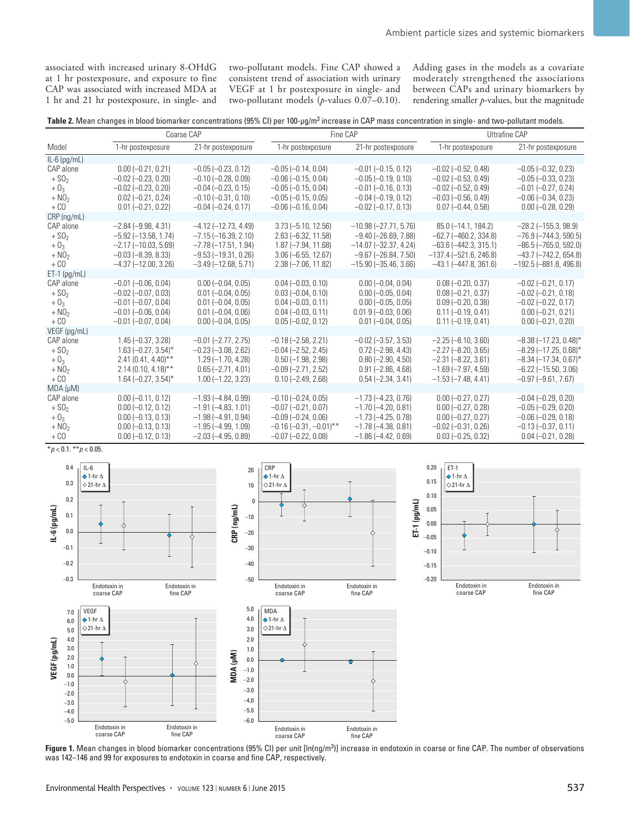associated with increased urinary 8-OHdG at 1 hr postexposure, and exposure to fine CAP was associated with increased MDA at 1 hr and 21 hr postexposure, in single- and two-pollutant models. Fine CAP showed a consistent trend of association with urinary VEGF at 1 hr postexposure in single- and two-pollutant models (*p*-values 0.07–0.10). Adding gases in the models as a covariate moderately strengthened the associations between CAPs and urinary biomarkers by rendering smaller *p*-values, but the magnitude

**Table 2.** Mean changes in blood biomarker concentrations (95% CI) per 100-μg/m<sup>3</sup> increase in CAP mass concentration in single- and two-pollutant models.

|                                                    |                                                                                                                                             | Coarse CAP                                                                                                                          |                                                                                                                                         | Fine CAP                                                                                                                                            | Ultrafine CAP                                                                                                                                  |                                                                                                                                                       |
|----------------------------------------------------|---------------------------------------------------------------------------------------------------------------------------------------------|-------------------------------------------------------------------------------------------------------------------------------------|-----------------------------------------------------------------------------------------------------------------------------------------|-----------------------------------------------------------------------------------------------------------------------------------------------------|------------------------------------------------------------------------------------------------------------------------------------------------|-------------------------------------------------------------------------------------------------------------------------------------------------------|
| Model                                              | 1-hr postexposure                                                                                                                           | 21-hr postexposure                                                                                                                  | 1-hr postexposure                                                                                                                       | 21-hr postexposure                                                                                                                                  | 1-hr postexposure                                                                                                                              | 21-hr postexposure                                                                                                                                    |
| $IL-6$ (pg/mL)                                     |                                                                                                                                             |                                                                                                                                     |                                                                                                                                         |                                                                                                                                                     |                                                                                                                                                |                                                                                                                                                       |
| CAP alone<br>$+ S02$<br>$+03$                      | $0.00 (-0.21, 0.21)$<br>$-0.02$ ( $-0.23$ , 0.20)<br>$-0.02$ ( $-0.23$ , 0.20)                                                              | $-0.05$ $(-0.23, 0.12)$<br>$-0.10$ $(-0.28, 0.09)$<br>$-0.04$ $(-0.23, 0.15)$                                                       | $-0.05$ $(-0.14, 0.04)$<br>$-0.06$ $(-0.15, 0.04)$<br>$-0.05$ $(-0.15, 0.04)$                                                           | $-0.01$ ( $-0.15$ , 0.12)<br>$-0.05$ $(-0.19, 0.10)$<br>$-0.01$ $(-0.16, 0.13)$                                                                     | $-0.02$ ( $-0.52$ , 0.48)<br>$-0.02$ ( $-0.53$ , 0.49)<br>$-0.02$ ( $-0.52$ , 0.49)                                                            | $-0.05$ $(-0.32, 0.23)$<br>$-0.05$ $(-0.33, 0.23)$<br>$-0.01$ $(-0.27, 0.24)$                                                                         |
| $+ NO2$<br>$+$ CO                                  | $0.02 (-0.21, 0.24)$<br>$0.01 (-0.21, 0.22)$                                                                                                | $-0.10$ $(-0.31, 0.10)$<br>$-0.04$ ( $-0.24$ , 0.17)                                                                                | $-0.05$ $(-0.15, 0.05)$<br>$-0.06$ $(-0.16, 0.04)$                                                                                      | $-0.04$ $(-0.19, 0.12)$<br>$-0.02$ ( $-0.17$ , 0.13)                                                                                                | $-0.03$ ( $-0.56$ , 0.49)<br>$0.07$ (-0.44, 0.58)                                                                                              | $-0.06$ $(-0.34, 0.23)$<br>$0.00 (-0.28, 0.29)$                                                                                                       |
| $CRP$ (ng/mL)                                      |                                                                                                                                             |                                                                                                                                     |                                                                                                                                         |                                                                                                                                                     |                                                                                                                                                |                                                                                                                                                       |
| CAP alone<br>$+ S02$<br>$+03$<br>$+ NO2$<br>$+$ CO | $-2.84 (-9.98, 4.31)$<br>$-5.92(-13.58, 1.74)$<br>$-2.17(-10.03, 5.69)$<br>$-0.03$ ( $-8.39$ , 8.33)<br>$-4.37$ ( $-12.00$ , 3.26)          | $-4.12$ ( $-12.73$ , 4.49)<br>$-7.15(-16.39, 2.10)$<br>$-7.78(-17.51, 1.94)$<br>$-9.53$ ( $-19.31$ , 0.26)<br>$-3.49(-12.68, 5.71)$ | $3.73 (-5.10, 12.56)$<br>$2.63 (-6.32, 11.58)$<br>$1.87 (-7.94, 11.68)$<br>$3.06 (-6.55, 12.67)$<br>$2.38 (-7.06, 11.82)$               | $-10.98(-27.71, 5.76)$<br>$-9.40$ ( $-26.69$ , $7.88$ )<br>$-14.07$ ( $-32.37$ , 4.24)<br>$-9.67$ ( $-26.84$ , 7.50)<br>$-15.90$ ( $-35.46$ , 3.66) | $85.0$ (-14.1, 184.2)<br>$-62.7$ ( $-460.2$ , 334.8)<br>$-63.6$ ( $-442.3$ , 315.1)<br>$-137.4 (-521.6, 246.8)$<br>$-43.1$ ( $-447.8$ , 361.6) | $-28.2$ ( $-155.3$ , 98.9)<br>$-76.9$ $(-744.3, 590.5)$<br>$-86.5$ ( $-765.0$ , 592.0)<br>$-43.7$ ( $-742.2$ , 654.8)<br>$-192.5$ ( $-881.8$ , 496.8) |
| $ET-1$ (pg/mL)                                     |                                                                                                                                             |                                                                                                                                     |                                                                                                                                         |                                                                                                                                                     |                                                                                                                                                |                                                                                                                                                       |
| CAP alone<br>$+ S02$<br>$+03$<br>$+ NO2$<br>$+$ CO | $-0.01$ $(-0.06, 0.04)$<br>$-0.02$ ( $-0.07$ , 0.03)<br>$-0.01$ ( $-0.07$ , 0.04)<br>$-0.01$ ( $-0.06$ , 0.04)<br>$-0.01$ ( $-0.07$ , 0.04) | $0.00 (-0.04, 0.05)$<br>$0.01 (-0.04, 0.05)$<br>$0.01 (-0.04, 0.05)$<br>$0.01 (-0.04, 0.06)$<br>$0.00 (-0.04, 0.05)$                | $0.04 (-0.03, 0.10)$<br>$0.03 (-0.04, 0.10)$<br>$0.04 (-0.03, 0.11)$<br>$0.04 (-0.03, 0.11)$<br>$0.05 (-0.02, 0.12)$                    | $0.00 (-0.04, 0.04)$<br>$0.00 (-0.05, 0.04)$<br>$0.00 (-0.05, 0.05)$<br>$0.01$ 9 (-0.03, 0.06)<br>$0.01 (-0.04, 0.05)$                              | $0.08 (-0.20, 0.37)$<br>$0.08 (-0.21, 0.37)$<br>$0.09 (-0.20, 0.38)$<br>$0.11 (-0.19, 0.41)$<br>$0.11 (-0.19, 0.41)$                           | $-0.02$ ( $-0.21$ , 0.17)<br>$-0.02$ ( $-0.21$ , 0.18)<br>$-0.02$ $(-0.22, 0.17)$<br>$0.00 (-0.21, 0.21)$<br>$0.00 (-0.21, 0.20)$                     |
| VEGF (pg/mL)                                       |                                                                                                                                             |                                                                                                                                     |                                                                                                                                         |                                                                                                                                                     |                                                                                                                                                |                                                                                                                                                       |
| CAP alone<br>$+ S02$<br>$+03$<br>$+ NO2$<br>$+ CO$ | $1.45 (-0.37, 3.28)$<br>$1.63$ (-0.27, 3.54)*<br>$2.41(0.41, 4.40)$ **<br>$2.14(0.10, 4.18)$ **<br>$1.64 (-0.27, 3.54)^*$                   | $-0.01$ $(-2.77, 2.75)$<br>$-0.23$ $(-3.08, 2.62)$<br>$1.29(-1.70, 4.28)$<br>$0.65 (-2.71, 4.01)$<br>$1.00$ (-1.22, 3.23)           | $-0.18$ $(-2.58, 2.21)$<br>$-0.04$ $(-2.52, 2.45)$<br>$0.50$ (-1.98, 2.98)<br>$-0.09$ $(-2.71, 2.52)$<br>$0.10 (-2.49, 2.68)$           | $-0.02$ $(-3.57, 3.53)$<br>$0.72$ (-2.98, 4.43)<br>$0.80$ (-2.90, 4.50)<br>$0.91 (-2.86, 4.68)$<br>$0.54 (-2.34, 3.41)$                             | $-2.25(-8.10, 3.60)$<br>$-2.27(-8.20, 3.65)$<br>$-2.31 (-8.22, 3.61)$<br>$-1.69$ ( $-7.97$ , 4.59)<br>$-1.53(-7.48, 4.41)$                     | $-8.38(-17.23, 0.48)^*$<br>$-8.29$ (-17.25, 0.68)*<br>$-8.34$ (-17.34, 0.67) <sup>*</sup><br>$-6.22$ ( $-15.50$ , 3.06)<br>$-0.97$ $(-9.61, 7.67)$    |
| $MDA (\mu M)$                                      |                                                                                                                                             |                                                                                                                                     |                                                                                                                                         |                                                                                                                                                     |                                                                                                                                                |                                                                                                                                                       |
| CAP alone<br>$+ S02$<br>$+03$<br>$+ NO2$<br>$+$ CO | $0.00 (-0.11, 0.12)$<br>$0.00 (-0.12, 0.12)$<br>$0.00 (-0.13, 0.13)$<br>$0.00 (-0.13, 0.13)$<br>$0.00 (-0.12, 0.13)$                        | $-1.93(-4.84, 0.99)$<br>$-1.91(-4.83, 1.01)$<br>$-1.98(-4.91, 0.94)$<br>$-1.95(-4.99, 1.09)$<br>$-2.03$ ( $-4.95$ , 0.89)           | $-0.10$ $(-0.24, 0.05)$<br>$-0.07$ $(-0.21, 0.07)$<br>$-0.09$ $(-0.24, 0.06)$<br>$-0.16$ $(-0.31, -0.01)$ **<br>$-0.07$ $(-0.22, 0.08)$ | $-1.73$ ( $-4.23$ , 0.76)<br>$-1.70$ ( $-4.20$ , 0.81)<br>$-1.73$ ( $-4.25$ , 0.78)<br>$-1.78(-4.38, 0.81)$<br>$-1.86$ ( $-4.42$ , 0.69)            | $0.00 (-0.27, 0.27)$<br>$0.00 (-0.27, 0.28)$<br>$0.00 (-0.27, 0.27)$<br>$-0.02$ ( $-0.31$ , 0.26)<br>$0.03 (-0.25, 0.32)$                      | $-0.04$ $(-0.29, 0.20)$<br>$-0.05$ $(-0.29, 0.20)$<br>$-0.06$ $(-0.29, 0.18)$<br>$-0.13(-0.37, 0.11)$<br>$0.04 (-0.21, 0.28)$                         |

#### \**p* < 0.1. \*\**p* < 0.05.



Figure 1. Mean changes in blood biomarker concentrations (95% CI) per unit [In(ng/m<sup>3</sup>]] increase in endotoxin in coarse or fine CAP. The number of observations was 142–146 and 99 for exposures to endotoxin in coarse and fine CAP, respectively.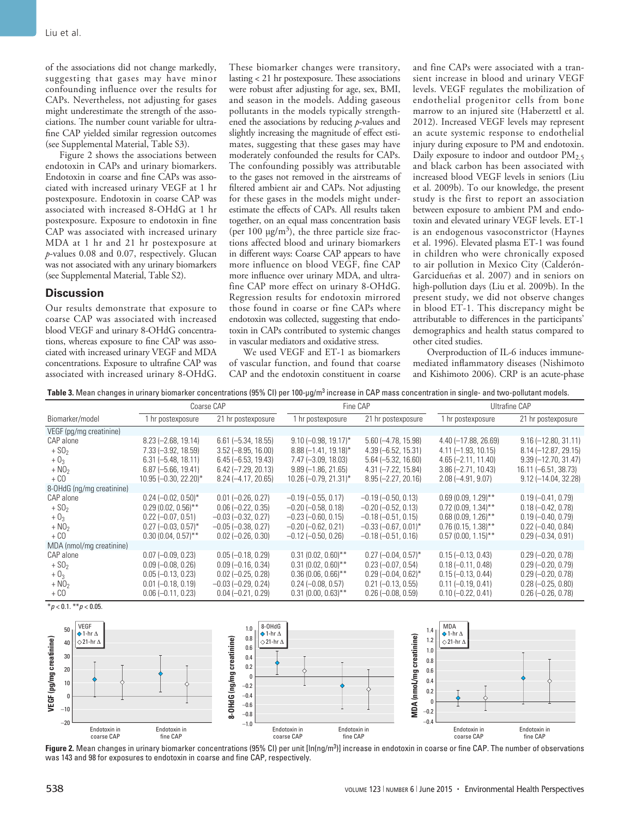of the associations did not change markedly, suggesting that gases may have minor confounding influence over the results for CAPs. Nevertheless, not adjusting for gases might underestimate the strength of the associations. The number count variable for ultrafine CAP yielded similar regression outcomes (see Supplemental Material, Table S3).

Figure 2 shows the associations between endotoxin in CAPs and urinary biomarkers. Endotoxin in coarse and fine CAPs was associated with increased urinary VEGF at 1 hr postexposure. Endotoxin in coarse CAP was associated with increased 8-OHdG at 1 hr postexposure. Exposure to endotoxin in fine CAP was associated with increased urinary MDA at 1 hr and 21 hr postexposure at *p*-values 0.08 and 0.07, respectively. Glucan was not associated with any urinary biomarkers (see Supplemental Material, Table S2).

#### **Discussion**

Our results demonstrate that exposure to coarse CAP was associated with increased blood VEGF and urinary 8-OHdG concentrations, whereas exposure to fine CAP was associated with increased urinary VEGF and MDA concentrations. Exposure to ultrafine CAP was associated with increased urinary 8-OHdG.

These biomarker changes were transitory, lasting < 21 hr postexposure. These associations were robust after adjusting for age, sex, BMI, and season in the models. Adding gaseous pollutants in the models typically strengthened the associations by reducing *p*-values and slightly increasing the magnitude of effect estimates, suggesting that these gases may have moderately confounded the results for CAPs. The confounding possibly was attributable to the gases not removed in the airstreams of filtered ambient air and CAPs. Not adjusting for these gases in the models might underestimate the effects of CAPs. All results taken together, on an equal mass concentration basis (per 100  $\mu$ g/m<sup>3</sup>), the three particle size fractions affected blood and urinary biomarkers in different ways: Coarse CAP appears to have more influence on blood VEGF, fine CAP more influence over urinary MDA, and ultrafine CAP more effect on urinary 8-OHdG. Regression results for endotoxin mirrored those found in coarse or fine CAPs where endotoxin was collected, suggesting that endotoxin in CAPs contributed to systemic changes in vascular mediators and oxidative stress.

We used VEGF and ET-1 as biomarkers of vascular function, and found that coarse CAP and the endotoxin constituent in coarse and fine CAPs were associated with a transient increase in blood and urinary VEGF levels. VEGF regulates the mobilization of endothelial progenitor cells from bone marrow to an injured site (Haberzettl et al. 2012). Increased VEGF levels may represent an acute systemic response to endothelial injury during exposure to PM and endotoxin. Daily exposure to indoor and outdoor  $PM_{2.5}$ and black carbon has been associated with increased blood VEGF levels in seniors (Liu et al. 2009b). To our knowledge, the present study is the first to report an association between exposure to ambient PM and endotoxin and elevated urinary VEGF levels. ET-1 is an endogenous vasoconstrictor (Haynes et al. 1996). Elevated plasma ET-1 was found in children who were chronically exposed to air pollution in Mexico City (Calderón-Garcidueñas et al. 2007) and in seniors on high-pollution days (Liu et al. 2009b). In the present study, we did not observe changes in blood ET-1. This discrepancy might be attributable to differences in the participants' demographics and health status compared to other cited studies.

Overproduction of IL-6 induces immunemediated inflammatory diseases (Nishimoto and Kishimoto 2006). CRP is an acute-phase

Table 3. Mean changes in urinary biomarker concentrations (95% CI) per 100-µg/m<sup>3</sup> increase in CAP mass concentration in single- and two-pollutant models.

|                           |                          | Coarse CAP              | Fine CAP                  |                           | Ultrafine CAP          |                        |
|---------------------------|--------------------------|-------------------------|---------------------------|---------------------------|------------------------|------------------------|
| Biomarker/model           | 1 hr postexposure        | 21 hr postexposure      | 1 hr postexposure         | 21 hr postexposure        | 1 hr postexposure      | 21 hr postexposure     |
| VEGF (pg/mg creatinine)   |                          |                         |                           |                           |                        |                        |
| CAP alone                 | $8.23$ (-2.68, 19.14)    | $6.61 (-5.34, 18.55)$   | $9.10 (-0.98, 19.17)^*$   | $5.60 (-4.78, 15.98)$     | $4.40 (-17.88, 26.69)$ | $9.16 (-12.80, 31.11)$ |
| $+ S02$                   | $7.33 (-3.92, 18.59)$    | $3.52 (-8.95, 16.00)$   | $8.88(-1.41, 19.18)^*$    | $4.39 (-6.52, 15.31)$     | $4.11 (-1.93, 10.15)$  | $8.14 (-12.87, 29.15)$ |
| $+03$                     | $6.31 (-5.48, 18.11)$    | $6.45 (-6.53, 19.43)$   | $7.47 (-3.09, 18.03)$     | $5.64 (-5.32, 16.60)$     | $4.65 (-2.11, 11.40)$  | $9.39 (-12.70, 31.47)$ |
| $+NO2$                    | $6.87 (-5.66, 19.41)$    | $6.42$ (-7.29, 20.13)   | $9.89(-1.86, 21.65)$      | $4.31 (-7.22, 15.84)$     | $3.86 (-2.71, 10.43)$  | 16.11 (-6.51, 38.73)   |
| $+$ CO                    | $10.95 (-0.30, 22.20)^*$ | $8.24 (-4.17, 20.65)$   | $10.26$ (-0.79, 21.31)*   | $8.95 (-2.27, 20.16)$     | $2.08(-4.91, 9.07)$    | $9.12$ (-14.04, 32.28) |
| 8-OHdG (ng/mg creatinine) |                          |                         |                           |                           |                        |                        |
| CAP alone                 | $0.24 (-0.02, 0.50)^*$   | $0.01 (-0.26, 0.27)$    | $-0.19$ $(-0.55, 0.17)$   | $-0.19(-0.50, 0.13)$      | $0.69(0.09, 1.29)$ **  | $0.19 (-0.41, 0.79)$   |
| $+ S02$                   | $0.29(0.02, 0.56)$ **    | $0.06 (-0.22, 0.35)$    | $-0.20$ $(-0.58, 0.18)$   | $-0.20$ $(-0.52, 0.13)$   | $0.72$ (0.09, 1.34)**  | $0.18 (-0.42, 0.78)$   |
| $+03$                     | $0.22$ (-0.07, 0.51)     | $-0.03$ $(-0.32, 0.27)$ | $-0.23$ $(-0.60, 0.15)$   | $-0.18(-0.51, 0.15)$      | $0.68(0.09, 1.26)$ **  | $0.19 (-0.40, 0.79)$   |
| $+NO2$                    | $0.27$ (-0.03, 0.57)*    | $-0.05$ $(-0.38, 0.27)$ | $-0.20$ $(-0.62, 0.21)$   | $-0.33$ $(-0.67, 0.01)$ * | $0.76(0.15, 1.38)$ **  | $0.22$ (-0.40, 0.84)   |
| $+$ CO                    | $0.30(0.04, 0.57)$ **    | $0.02$ (-0.26, 0.30)    | $-0.12$ ( $-0.50$ , 0.26) | $-0.18$ ( $-0.51$ , 0.16) | $0.57(0.00, 1.15)$ **  | $0.29 (-0.34, 0.91)$   |
| MDA (nmol/mg creatinine)  |                          |                         |                           |                           |                        |                        |
| CAP alone                 | $0.07 (-0.09, 0.23)$     | $0.05 (-0.18, 0.29)$    | $0.31(0.02, 0.60)$ **     | $0.27$ $(-0.04, 0.57)$ *  | $0.15 (-0.13, 0.43)$   | $0.29 (-0.20, 0.78)$   |
| $+ S02$                   | $0.09 (-0.08, 0.26)$     | $0.09 (-0.16, 0.34)$    | $0.31(0.02, 0.60)$ **     | $0.23 (-0.07, 0.54)$      | $0.18 (-0.11, 0.48)$   | $0.29 (-0.20, 0.79)$   |
| $+03$                     | $0.05 (-0.13, 0.23)$     | $0.02$ (-0.25, 0.28)    | $0.36(0.06, 0.66)$ **     | $0.29$ (-0.04, 0.62)*     | $0.15 (-0.13, 0.44)$   | $0.29 (-0.20, 0.78)$   |
| $+ NO2$                   | $0.01 (-0.18, 0.19)$     | $-0.03$ $(-0.29, 0.24)$ | $0.24 (-0.08, 0.57)$      | $0.21 (-0.13, 0.55)$      | $0.11 (-0.19, 0.41)$   | $0.28 (-0.25, 0.80)$   |
| $+$ CO                    | $0.06 (-0.11, 0.23)$     | $0.04 (-0.21, 0.29)$    | $0.31(0.00, 0.63)$ **     | $0.26 (-0.08, 0.59)$      | $0.10 (-0.22, 0.41)$   | $0.26 (-0.26, 0.78)$   |

 $*$ *p* < 0.1.  $*$ *r* $p$  < 0.05.



**Figure 2.** Mean changes in urinary biomarker concentrations (95% CI) per unit [In(ng/m<sup>3</sup>]] increase in endotoxin in coarse or fine CAP. The number of observations was 143 and 98 for exposures to endotoxin in coarse and fine CAP, respectively.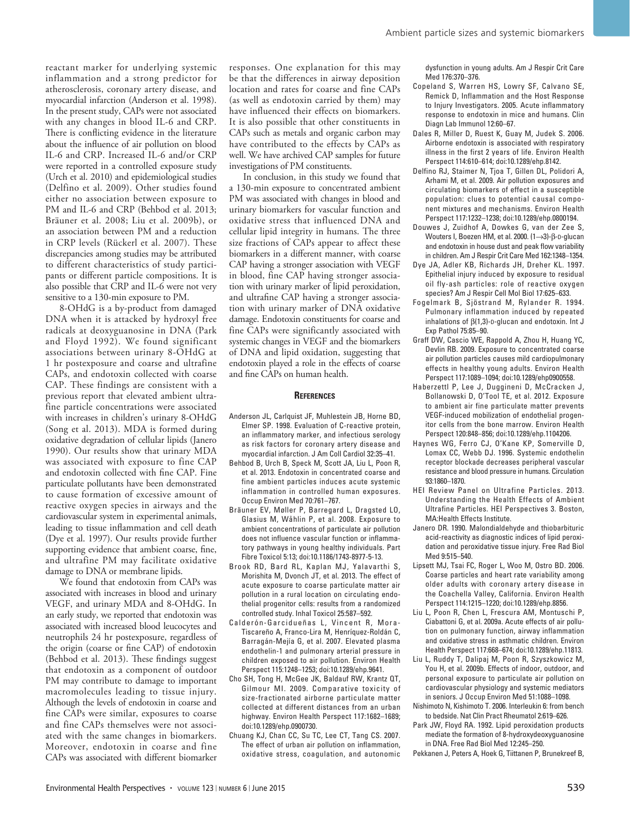reactant marker for underlying systemic inflammation and a strong predictor for atherosclerosis, coronary artery disease, and myocardial infarction (Anderson et al. 1998). In the present study, CAPs were not associated with any changes in blood IL-6 and CRP. There is conflicting evidence in the literature about the influence of air pollution on blood IL-6 and CRP. Increased IL-6 and/or CRP were reported in a controlled exposure study (Urch et al. 2010) and epidemiological studies (Delfino et al. 2009). Other studies found either no association between exposure to PM and IL-6 and CRP (Behbod et al. 2013; Bräuner et al. 2008; Liu et al. 2009b), or an association between PM and a reduction in CRP levels (Rückerl et al. 2007). These discrepancies among studies may be attributed to different characteristics of study participants or different particle compositions. It is also possible that CRP and IL-6 were not very sensitive to a 130-min exposure to PM.

8-OHdG is a by-product from damaged DNA when it is attacked by hydroxyl free radicals at deoxyguanosine in DNA (Park and Floyd 1992). We found significant associations between urinary 8-OHdG at 1 hr postexposure and coarse and ultrafine CAPs, and endotoxin collected with coarse CAP. These findings are consistent with a previous report that elevated ambient ultrafine particle concentrations were associated with increases in children's urinary 8-OHdG (Song et al. 2013). MDA is formed during oxidative degradation of cellular lipids (Janero 1990). Our results show that urinary MDA was associated with exposure to fine CAP and endotoxin collected with fine CAP. Fine particulate pollutants have been demonstrated to cause formation of excessive amount of reactive oxygen species in airways and the cardiovascular system in experimental animals, leading to tissue inflammation and cell death (Dye et al. 1997). Our results provide further supporting evidence that ambient coarse, fine, and ultrafine PM may facilitate oxidative damage to DNA or membrane lipids.

We found that endotoxin from CAPs was associated with increases in blood and urinary VEGF, and urinary MDA and 8-OHdG. In an early study, we reported that endotoxin was associated with increased blood leucocytes and neutrophils 24 hr postexposure, regardless of the origin (coarse or fine CAP) of endotoxin (Behbod et al. 2013). These findings suggest that endotoxin as a component of outdoor PM may contribute to damage to important macromolecules leading to tissue injury. Although the levels of endotoxin in coarse and fine CAPs were similar, exposures to coarse and fine CAPs themselves were not associated with the same changes in biomarkers. Moreover, endotoxin in coarse and fine CAPs was associated with different biomarker

responses. One explanation for this may be that the differences in airway deposition location and rates for coarse and fine CAPs (as well as endotoxin carried by them) may have influenced their effects on biomarkers. It is also possible that other constituents in CAPs such as metals and organic carbon may have contributed to the effects by CAPs as well. We have archived CAP samples for future investigations of PM constituents.

In conclusion, in this study we found that a 130-min exposure to concentrated ambient PM was associated with changes in blood and urinary biomarkers for vascular function and oxidative stress that influenced DNA and cellular lipid integrity in humans. The three size fractions of CAPs appear to affect these biomarkers in a different manner, with coarse CAP having a stronger association with VEGF in blood, fine CAP having stronger association with urinary marker of lipid peroxidation, and ultrafine CAP having a stronger association with urinary marker of DNA oxidative damage. Endotoxin constituents for coarse and fine CAPs were significantly associated with systemic changes in VEGF and the biomarkers of DNA and lipid oxidation, suggesting that endotoxin played a role in the effects of coarse and fine CAPs on human health.

#### **References**

- Anderson JL, Carlquist JF, Muhlestein JB, Horne BD, Elmer SP. 1998. Evaluation of C-reactive protein, an inflammatory marker, and infectious serology as risk factors for coronary artery disease and myocardial infarction. J Am Coll Cardiol 32:35–41.
- Behbod B, Urch B, Speck M, Scott JA, Liu L, Poon R, et al. 2013. Endotoxin in concentrated coarse and fine ambient particles induces acute systemic inflammation in controlled human exposures. Occup Environ Med 70:761–767.
- Bräuner EV, Møller P, Barregard L, Dragsted LO, Glasius M, Wåhlin P, et al. 2008. Exposure to ambient concentrations of particulate air pollution does not influence vascular function or inflammatory pathways in young healthy individuals. Part Fibre Toxicol 5:13; doi:10.1186/1743-8977-5-13.
- Brook RD, Bard RL, Kaplan MJ, Yalavarthi S, Morishita M, Dvonch JT, et al. 2013. The effect of acute exposure to coarse particulate matter air pollution in a rural location on circulating endothelial progenitor cells: results from a randomized controlled study. Inhal Toxicol 25:587–592.
- Calderón-Garcidueñas L, Vincent R, Mora-Tiscareño A, Franco-Lira M, Henríquez-Roldán C, Barragán-Mejía G, et al. 2007. Elevated plasma endothelin-1 and pulmonary arterial pressure in children exposed to air pollution. Environ Health Perspect 115:1248–1253; doi:10.1289/ehp.9641.
- Cho SH, Tong H, McGee JK, Baldauf RW, Krantz QT, Gilmour MI. 2009. Comparative toxicity of size-fractionated airborne particulate matter collected at different distances from an urban highway. Environ Health Perspect 117:1682–1689; doi:10.1289/ehp.0900730.
- Chuang KJ, Chan CC, Su TC, Lee CT, Tang CS. 2007. The effect of urban air pollution on inflammation, oxidative stress, coagulation, and autonomic

dysfunction in young adults. Am J Respir Crit Care Med 176:370–376.

- Copeland S, Warren HS, Lowry SF, Calvano SE, Remick D, Inflammation and the Host Response to Injury Investigators. 2005. Acute inflammatory response to endotoxin in mice and humans. Clin Diagn Lab Immunol 12:60–67.
- Dales R, Miller D, Ruest K, Guay M, Judek S. 2006. Airborne endotoxin is associated with respiratory illness in the first 2 years of life. Environ Health Perspect 114:610–614; doi:10.1289/ehp.8142.
- Delfino RJ, Staimer N, Tjoa T, Gillen DL, Polidori A, Arhami M, et al. 2009. Air pollution exposures and circulating biomarkers of effect in a susceptible population: clues to potential causal component mixtures and mechanisms. Environ Health Perspect 117:1232–1238; doi:10.1289/ehp.0800194.
- Douwes J, Zuidhof A, Dowkes G, van der Zee S, Wouters I, Boezen HM, et al. 2000. (1→3)-β-D-glucan and endotoxin in house dust and peak flow variability in children. Am J Respir Crit Care Med 162:1348–1354.
- Dye JA, Adler KB, Richards JH, Dreher KL. 1997. Epithelial injury induced by exposure to residual oil fly-ash particles: role of reactive oxygen species? Am J Respir Cell Mol Biol 17:625–633.
- Fogelmark B, Sjöstrand M, Rylander R. 1994. Pulmonary inflammation induced by repeated inhalations of  $\beta$ (1,3)-D-glucan and endotoxin. Int J Exp Pathol 75:85–90.
- Graff DW, Cascio WE, Rappold A, Zhou H, Huang YC, Devlin RB. 2009. Exposure to concentrated coarse air pollution particles causes mild cardiopulmonary effects in healthy young adults. Environ Health Perspect 117:1089–1094; doi:10.1289/ehp0900558.
- Haberzettl P, Lee J, Duggineni D, McCracken J, Bollanowski D, O'Tool TE, et al. 2012. Exposure to ambient air fine particulate matter prevents VEGF-induced mobilization of endothelial progenitor cells from the bone marrow. Environ Health Perspect 120:848–856; doi:10.1289/ehp.1104206.
- Haynes WG, Ferro CJ, O'Kane KP, Somerville D, Lomax CC, Webb DJ. 1996. Systemic endothelin receptor blockade decreases peripheral vascular resistance and blood pressure in humans. Circulation 93:1860–1870.
- HEI Review Panel on Ultrafine Particles. 2013. Understanding the Health Effects of Ambient Ultrafine Particles. HEI Perspectives 3. Boston, MA:Health Effects Institute.
- Janero DR. 1990. Malondialdehyde and thiobarbituric acid-reactivity as diagnostic indices of lipid peroxidation and peroxidative tissue injury. Free Rad Biol Med 9:515–540.
- Lipsett MJ, Tsai FC, Roger L, Woo M, Ostro BD. 2006. Coarse particles and heart rate variability among older adults with coronary artery disease in the Coachella Valley, California. Environ Health Perspect 114:1215–1220; doi:10.1289/ehp.8856.
- Liu L, Poon R, Chen L, Frescura AM, Montuschi P, Ciabattoni G, et al. 2009a. Acute effects of air pollution on pulmonary function, airway inflammation and oxidative stress in asthmatic children. Environ Health Perspect 117:668–674; doi:10.1289/ehp.11813.
- Liu L, Ruddy T, Dalipaj M, Poon R, Szyszkowicz M, You H, et al. 2009b. Effects of indoor, outdoor, and personal exposure to particulate air pollution on cardiovascular physiology and systemic mediators in seniors. J Occup Environ Med 51:1088–1098.
- Nishimoto N, Kishimoto T. 2006. Interleukin 6: from bench to bedside. Nat Clin Pract Rheumatol 2:619–626.
- Park JW, Floyd RA. 1992. Lipid peroxidation products mediate the formation of 8-hydroxydeoxyguanosine in DNA. Free Rad Biol Med 12:245–250.
- Pekkanen J, Peters A, Hoek G, Tiittanen P, Brunekreef B,